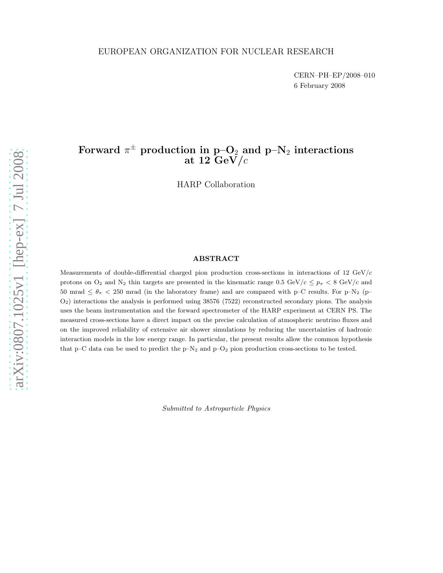CERN–PH–EP/2008–010 6 February 2008

# Forward  $\pi^{\pm}$  production in p–O<sub>2</sub> and p–N<sub>2</sub> interactions at 12  $GeV/c$

HARP Collaboration

## ABSTRACT

Measurements of double-differential charged pion production cross-sections in interactions of 12 GeV/c protons on  $O_2$  and  $N_2$  thin targets are presented in the kinematic range 0.5 GeV/c  $\epsilon \leq p_{\pi} < 8$  GeV/c and 50 mrad  $\leq \theta_{\pi}$  < 250 mrad (in the laboratory frame) and are compared with p–C results. For p–N<sub>2</sub> (p– O2) interactions the analysis is performed using 38576 (7522) reconstructed secondary pions. The analysis uses the beam instrumentation and the forward spectrometer of the HARP experiment at CERN PS. The measured cross-sections have a direct impact on the precise calculation of atmospheric neutrino fluxes and on the improved reliability of extensive air shower simulations by reducing the uncertainties of hadronic interaction models in the low energy range. In particular, the present results allow the common hypothesis that  $p-C$  data can be used to predict the  $p-N_2$  and  $p-O_2$  pion production cross-sections to be tested.

Submitted to Astroparticle Physics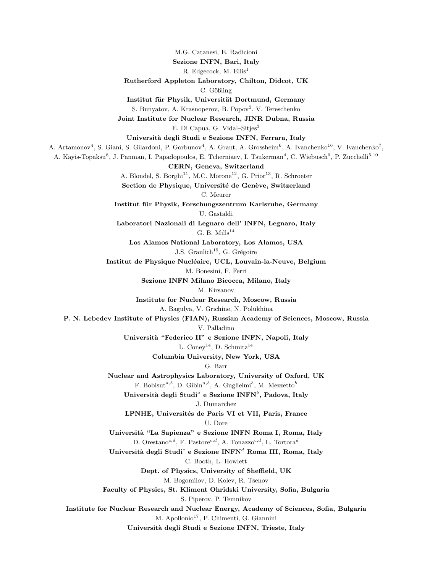M.G. Catanesi, E. Radicioni

Sezione INFN, Bari, Italy

R. Edgecock, M. Ellis<sup>1</sup>

Rutherford Appleton Laboratory, Chilton, Didcot, UK

C. Gößling

Institut für Physik, Universität Dortmund, Germany

S. Bunyatov, A. Krasnoperov, B. Popov<sup>2</sup>, V. Tereschenko

Joint Institute for Nuclear Research, JINR Dubna, Russia

E. Di Capua, G. Vidal–Sitjes<sup>3</sup>

Universit`a degli Studi e Sezione INFN, Ferrara, Italy

A. Artamonov<sup>4</sup>, S. Giani, S. Gilardoni, P. Gorbunov<sup>4</sup>, A. Grant, A. Grossheim<sup>6</sup>, A. Ivanchenko<sup>16</sup>, V. Ivanchenko<sup>7</sup>,

A. Kayis-Topaksu<sup>8</sup>, J. Panman, I. Papadopoulos, E. Tcherniaev, I. Tsukerman<sup>4</sup>, C. Wiebusch<sup>9</sup>, P. Zucchelli<sup>5,10</sup>

CERN, Geneva, Switzerland

A. Blondel, S. Borghi $^{11}$ , M.C. Morone $^{12}$ , G. Prior $^{13}$ , R. Schroeter

Section de Physique, Université de Genève, Switzerland

C. Meurer

Institut für Physik, Forschungszentrum Karlsruhe, Germany U. Gastaldi

Laboratori Nazionali di Legnaro dell' INFN, Legnaro, Italy G. B. Mills $^{14}$ 

Los Alamos National Laboratory, Los Alamos, USA J.S. Graulich<sup>15</sup>, G. Grégoire

Institut de Physique Nucléaire, UCL, Louvain-la-Neuve, Belgium

M. Bonesini, F. Ferri

Sezione INFN Milano Bicocca, Milano, Italy

M. Kirsanov

Institute for Nuclear Research, Moscow, Russia

A. Bagulya, V. Grichine, N. Polukhina

P. N. Lebedev Institute of Physics (FIAN), Russian Academy of Sciences, Moscow, Russia

V. Palladino

Universit`a "Federico II" e Sezione INFN, Napoli, Italy

L. Coney<sup>14</sup>, D. Schmitz<sup>14</sup>

Columbia University, New York, USA

#### G. Barr

Nuclear and Astrophysics Laboratory, University of Oxford, UK F. Bobisut<sup>a,b</sup>, D. Gibin<sup>a,b</sup>, A. Guglielmi<sup>b</sup>, M. Mezzetto<sup>b</sup>

Università degli Studi $^a$  e Sezione INFN $^b,$  Padova, Italy J. Dumarchez

LPNHE, Universités de Paris VI et VII, Paris, France

U. Dore

Universit`a "La Sapienza" e Sezione INFN Roma I, Roma, Italy D. Orestano<sup>c,d</sup>, F. Pastore<sup>c,d</sup>, A. Tonazzo<sup>c,d</sup>, L. Tortora<sup>d</sup>

Università degli Studi $^c$  e Sezione INFN $^d$  Roma III, Roma, Italy C. Booth, L. Howlett

Dept. of Physics, University of Sheffield, UK

M. Bogomilov, D. Kolev, R. Tsenov

Faculty of Physics, St. Kliment Ohridski University, Sofia, Bulgaria

S. Piperov, P. Temnikov

Institute for Nuclear Research and Nuclear Energy, Academy of Sciences, Sofia, Bulgaria M. Apollonio<sup>17</sup>, P. Chimenti, G. Giannini

Universit`a degli Studi e Sezione INFN, Trieste, Italy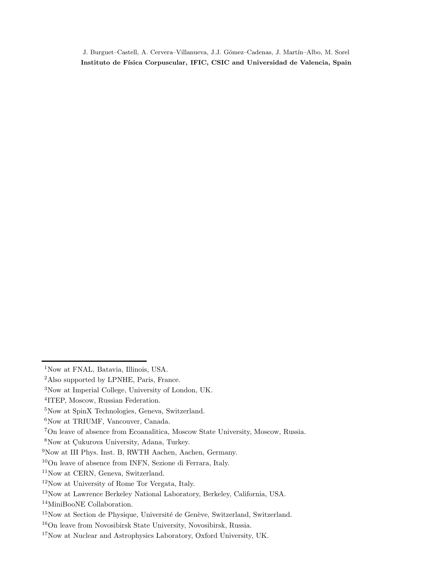J. Burguet–Castell, A. Cervera–Villanueva, J.J. Gómez–Cadenas, J. Martín–Albo, M. Sorel Instituto de Física Corpuscular, IFIC, CSIC and Universidad de Valencia, Spain

<sup>&</sup>lt;sup>1</sup>Now at FNAL, Batavia, Illinois, USA.

Also supported by LPNHE, Paris, France.

Now at Imperial College, University of London, UK.

ITEP, Moscow, Russian Federation.

<sup>&</sup>lt;sup>5</sup>Now at SpinX Technologies, Geneva, Switzerland.

<sup>&</sup>lt;sup>6</sup>Now at TRIUMF, Vancouver, Canada.

On leave of absence from Ecoanalitica, Moscow State University, Moscow, Russia.

<sup>&</sup>lt;sup>8</sup>Now at Çukurova University, Adana, Turkey.

Now at III Phys. Inst. B, RWTH Aachen, Aachen, Germany.

On leave of absence from INFN, Sezione di Ferrara, Italy.

Now at CERN, Geneva, Switzerland.

Now at University of Rome Tor Vergata, Italy.

Now at Lawrence Berkeley National Laboratory, Berkeley, California, USA.

MiniBooNE Collaboration.

Now at Section de Physique, Université de Genève, Switzerland, Switzerland.

On leave from Novosibirsk State University, Novosibirsk, Russia.

Now at Nuclear and Astrophysics Laboratory, Oxford University, UK.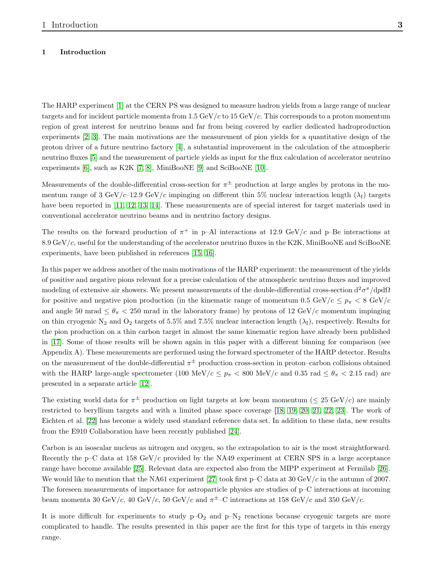## 1 Introduction

The HARP experiment [\[1\]](#page-14-0) at the CERN PS was designed to measure hadron yields from a large range of nuclear targets and for incident particle momenta from 1.5 GeV/c to 15 GeV/c. This corresponds to a proton momentum region of great interest for neutrino beams and far from being covered by earlier dedicated hadroproduction experiments [\[2,](#page-14-1) [3\]](#page-14-2). The main motivations are the measurement of pion yields for a quantitative design of the proton driver of a future neutrino factory [\[4\]](#page-14-3), a substantial improvement in the calculation of the atmospheric neutrino fluxes [\[5\]](#page-14-4) and the measurement of particle yields as input for the flux calculation of accelerator neutrino experiments [\[6\]](#page-14-5), such as K2K [\[7,](#page-14-6) [8\]](#page-14-7), MiniBooNE [\[9\]](#page-14-8) and SciBooNE [\[10\]](#page-14-9).

Measurements of the double-differential cross-section for  $\pi^{\pm}$  production at large angles by protons in the momentum range of 3 GeV/c–12.9 GeV/c impinging on different thin 5% nuclear interaction length ( $\lambda_I$ ) targets have been reported in [\[11,](#page-14-10) [12,](#page-14-11) [13,](#page-14-12) [14\]](#page-14-13). These measurements are of special interest for target materials used in conventional accelerator neutrino beams and in neutrino factory designs.

The results on the forward production of  $\pi^+$  in p–Al interactions at 12.9 GeV/c and p–Be interactions at  $8.9 \,\mathrm{GeV}/c$ , useful for the understanding of the accelerator neutrino fluxes in the K2K, MiniBooNE and SciBooNE experiments, have been published in references [\[15,](#page-14-14) [16\]](#page-14-15).

In this paper we address another of the main motivations of the HARP experiment: the measurement of the yields of positive and negative pions relevant for a precise calculation of the atmospheric neutrino fluxes and improved modeling of extensive air showers. We present measurements of the double-differential cross-section  $d^2\sigma^{\pi}/dp d\Omega$ for positive and negative pion production (in the kinematic range of momentum 0.5 GeV/c  $\leq p_{\pi} < 8$  GeV/c and angle 50 mrad  $\leq \theta_{\pi} < 250$  mrad in the laboratory frame) by protons of 12 GeV/c momentum impinging on thin cryogenic N<sub>2</sub> and O<sub>2</sub> targets of 5.5% and 7.5% nuclear interaction length  $(\lambda_I)$ , respectively. Results for the pion production on a thin carbon target in almost the same kinematic region have already been published in [\[17\]](#page-15-0). Some of those results will be shown again in this paper with a different binning for comparison (see Appendix A). These measurements are performed using the forward spectrometer of the HARP detector. Results on the measurement of the double-differential  $\pi^{\pm}$  production cross-section in proton–carbon collisions obtained with the HARP large-angle spectrometer (100 MeV/ $c \leq p_{\pi} < 800$  MeV/c and 0.35 rad  $\leq \theta_{\pi} < 2.15$  rad) are presented in a separate article [\[12\]](#page-14-11).

The existing world data for  $\pi^{\pm}$  production on light targets at low beam momentum ( $\leq 25 \text{ GeV}/c$ ) are mainly restricted to beryllium targets and with a limited phase space coverage [\[18,](#page-15-1) [19,](#page-15-2) [20,](#page-15-3) [21,](#page-15-4) [22,](#page-15-5) [23\]](#page-15-6). The work of Eichten et al. [\[22\]](#page-15-5) has become a widely used standard reference data set. In addition to these data, new results from the E910 Collaboration have been recently published [\[24\]](#page-15-7).

Carbon is an isoscalar nucleus as nitrogen and oxygen, so the extrapolation to air is the most straightforward. Recently the p–C data at 158 GeV/c provided by the NA49 experiment at CERN SPS in a large acceptance range have become available [\[25\]](#page-15-8). Relevant data are expected also from the MIPP experiment at Fermilab [\[26\]](#page-15-9). We would like to mention that the NA61 experiment [\[27\]](#page-15-10) took first  $p-C$  data at 30 GeV/c in the autumn of 2007. The foreseen measurements of importance for astroparticle physics are studies of p–C interactions at incoming beam momenta 30 GeV/c, 40 GeV/c, 50 GeV/c and  $\pi^{\pm}$ –C interactions at 158 GeV/c and 350 GeV/c.

It is more difficult for experiments to study  $p-O_2$  and  $p-N_2$  reactions because cryogenic targets are more complicated to handle. The results presented in this paper are the first for this type of targets in this energy range.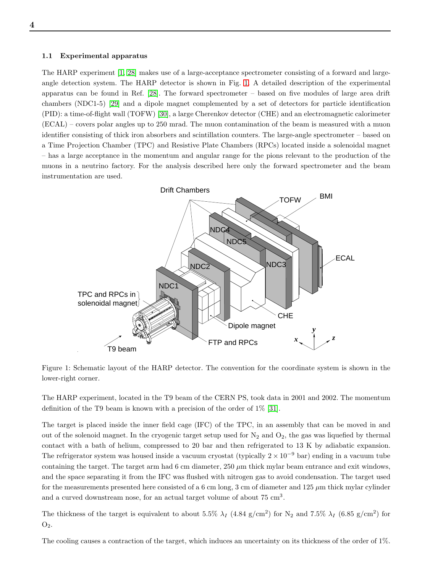#### <span id="page-4-1"></span>1.1 Experimental apparatus

The HARP experiment [\[1,](#page-14-0) [28\]](#page-15-11) makes use of a large-acceptance spectrometer consisting of a forward and largeangle detection system. The HARP detector is shown in Fig. [1.](#page-4-0) A detailed description of the experimental apparatus can be found in Ref. [\[28\]](#page-15-11). The forward spectrometer – based on five modules of large area drift chambers (NDC1-5) [\[29\]](#page-15-12) and a dipole magnet complemented by a set of detectors for particle identification (PID): a time-of-flight wall (TOFW) [\[30\]](#page-15-13), a large Cherenkov detector (CHE) and an electromagnetic calorimeter (ECAL) – covers polar angles up to 250 mrad. The muon contamination of the beam is measured with a muon identifier consisting of thick iron absorbers and scintillation counters. The large-angle spectrometer – based on a Time Projection Chamber (TPC) and Resistive Plate Chambers (RPCs) located inside a solenoidal magnet – has a large acceptance in the momentum and angular range for the pions relevant to the production of the muons in a neutrino factory. For the analysis described here only the forward spectrometer and the beam instrumentation are used.



<span id="page-4-0"></span>Figure 1: Schematic layout of the HARP detector. The convention for the coordinate system is shown in the lower-right corner.

The HARP experiment, located in the T9 beam of the CERN PS, took data in 2001 and 2002. The momentum definition of the T9 beam is known with a precision of the order of 1% [\[31\]](#page-15-14).

The target is placed inside the inner field cage (IFC) of the TPC, in an assembly that can be moved in and out of the solenoid magnet. In the cryogenic target setup used for  $N_2$  and  $O_2$ , the gas was liquefied by thermal contact with a bath of helium, compressed to 20 bar and then refrigerated to 13 K by adiabatic expansion. The refrigerator system was housed inside a vacuum cryostat (typically  $2 \times 10^{-9}$  bar) ending in a vacuum tube containing the target. The target arm had 6 cm diameter,  $250 \mu m$  thick mylar beam entrance and exit windows, and the space separating it from the IFC was flushed with nitrogen gas to avoid condensation. The target used for the measurements presented here consisted of a 6 cm long, 3 cm of diameter and  $125 \mu m$  thick mylar cylinder and a curved downstream nose, for an actual target volume of about  $75 \text{ cm}^3$ .

The thickness of the target is equivalent to about 5.5%  $\lambda_I$  (4.84 g/cm<sup>2</sup>) for N<sub>2</sub> and 7.5%  $\lambda_I$  (6.85 g/cm<sup>2</sup>) for  $O<sub>2</sub>$ .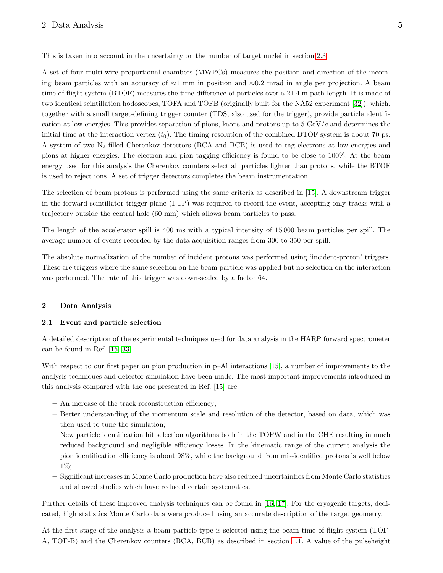This is taken into account in the uncertainty on the number of target nuclei in section [2.3.](#page-8-0)

A set of four multi-wire proportional chambers (MWPCs) measures the position and direction of the incoming beam particles with an accuracy of  $\approx$ 1 mm in position and  $\approx$ 0.2 mrad in angle per projection. A beam time-of-flight system (BTOF) measures the time difference of particles over a 21.4 m path-length. It is made of two identical scintillation hodoscopes, TOFA and TOFB (originally built for the NA52 experiment [\[32\]](#page-15-15)), which, together with a small target-defining trigger counter (TDS, also used for the trigger), provide particle identification at low energies. This provides separation of pions, kaons and protons up to  $5 \text{ GeV}/c$  and determines the initial time at the interaction vertex  $(t_0)$ . The timing resolution of the combined BTOF system is about 70 ps. A system of two  $N_2$ -filled Cherenkov detectors (BCA and BCB) is used to tag electrons at low energies and pions at higher energies. The electron and pion tagging efficiency is found to be close to 100%. At the beam energy used for this analysis the Cherenkov counters select all particles lighter than protons, while the BTOF is used to reject ions. A set of trigger detectors completes the beam instrumentation.

The selection of beam protons is performed using the same criteria as described in [\[15\]](#page-14-14). A downstream trigger in the forward scintillator trigger plane (FTP) was required to record the event, accepting only tracks with a trajectory outside the central hole (60 mm) which allows beam particles to pass.

The length of the accelerator spill is 400 ms with a typical intensity of 15 000 beam particles per spill. The average number of events recorded by the data acquisition ranges from 300 to 350 per spill.

The absolute normalization of the number of incident protons was performed using 'incident-proton' triggers. These are triggers where the same selection on the beam particle was applied but no selection on the interaction was performed. The rate of this trigger was down-scaled by a factor 64.

## 2 Data Analysis

#### 2.1 Event and particle selection

A detailed description of the experimental techniques used for data analysis in the HARP forward spectrometer can be found in Ref. [\[15,](#page-14-14) [33\]](#page-15-16).

With respect to our first paper on pion production in p–Al interactions [\[15\]](#page-14-14), a number of improvements to the analysis techniques and detector simulation have been made. The most important improvements introduced in this analysis compared with the one presented in Ref. [\[15\]](#page-14-14) are:

- An increase of the track reconstruction efficiency;
- Better understanding of the momentum scale and resolution of the detector, based on data, which was then used to tune the simulation;
- New particle identification hit selection algorithms both in the TOFW and in the CHE resulting in much reduced background and negligible efficiency losses. In the kinematic range of the current analysis the pion identification efficiency is about 98%, while the background from mis-identified protons is well below 1%;
- Significant increases in Monte Carlo production have also reduced uncertainties from Monte Carlo statistics and allowed studies which have reduced certain systematics.

Further details of these improved analysis techniques can be found in [\[16,](#page-14-15) [17\]](#page-15-0). For the cryogenic targets, dedicated, high statistics Monte Carlo data were produced using an accurate description of the target geometry.

At the first stage of the analysis a beam particle type is selected using the beam time of flight system (TOF-A, TOF-B) and the Cherenkov counters (BCA, BCB) as described in section [1.1.](#page-4-1) A value of the pulseheight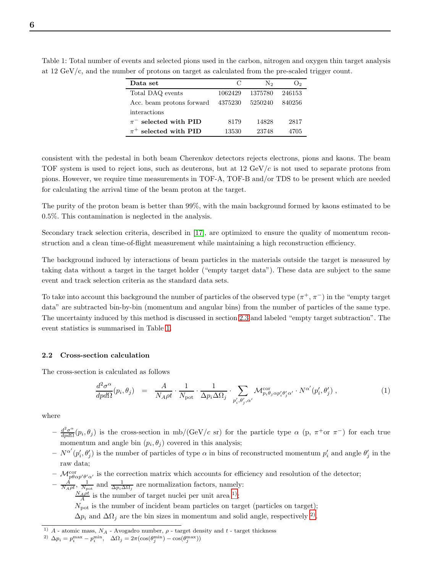| Data set                  | C       | $\rm N_{2}$ | O <sub>2</sub> |
|---------------------------|---------|-------------|----------------|
| Total DAQ events          | 1062429 | 1375780     | 246153         |
| Acc. beam protons forward | 4375230 | 5250240     | 840256         |
| interactions              |         |             |                |
| $\pi^-$ selected with PID | 8179    | 14828       | 2817           |
| $\pi^+$ selected with PID | 13530   | 23748       | 4705           |

<span id="page-6-0"></span>Table 1: Total number of events and selected pions used in the carbon, nitrogen and oxygen thin target analysis at 12 GeV/c, and the number of protons on target as calculated from the pre-scaled trigger count.

consistent with the pedestal in both beam Cherenkov detectors rejects electrons, pions and kaons. The beam TOF system is used to reject ions, such as deuterons, but at  $12 \text{ GeV}/c$  is not used to separate protons from pions. However, we require time measurements in TOF-A, TOF-B and/or TDS to be present which are needed for calculating the arrival time of the beam proton at the target.

The purity of the proton beam is better than 99%, with the main background formed by kaons estimated to be 0.5%. This contamination is neglected in the analysis.

Secondary track selection criteria, described in [\[17\]](#page-15-0), are optimized to ensure the quality of momentum reconstruction and a clean time-of-flight measurement while maintaining a high reconstruction efficiency.

The background induced by interactions of beam particles in the materials outside the target is measured by taking data without a target in the target holder ("empty target data"). These data are subject to the same event and track selection criteria as the standard data sets.

To take into account this background the number of particles of the observed type  $(\pi^+,\pi^-)$  in the "empty target" data" are subtracted bin-by-bin (momentum and angular bins) from the number of particles of the same type. The uncertainty induced by this method is discussed in section [2.3](#page-8-0) and labeled "empty target subtraction". The event statistics is summarised in Table [1.](#page-6-0)

#### 2.2 Cross-section calculation

The cross-section is calculated as follows

$$
\frac{d^2\sigma^{\alpha}}{dp d\Omega}(p_i, \theta_j) = \frac{A}{N_A \rho t} \cdot \frac{1}{N_{\text{pot}}} \cdot \frac{1}{\Delta p_i \Delta \Omega_j} \cdot \sum_{p'_i, \theta'_j, \alpha'} \mathcal{M}_{p_i \theta_j \alpha p'_i \theta'_j \alpha'}^{\text{cor}} \cdot N^{\alpha'}(p'_i, \theta'_j) ,
$$
\n(1)

where

- $-\frac{d^2\sigma^{\alpha}}{d\eta d\Omega}$  $\frac{d^2\sigma^{\alpha}}{dpd\Omega}(p_i,\theta_j)$  is the cross-section in mb/(GeV/c sr) for the particle type  $\alpha$  (p,  $\pi^+$ or  $\pi^-$ ) for each true momentum and angle bin  $(p_i, \theta_j)$  covered in this analysis;
- $-N^{\alpha'}(p'_i, \theta'_j)$  is the number of particles of type  $\alpha$  in bins of reconstructed momentum  $p'_i$  and angle  $\theta'_j$  in the raw data;
- $-\mathcal{M}^{\text{cor}}_{p\theta\alpha p'\theta'\alpha'}$  is the correction matrix which accounts for efficiency and resolution of the detector;
- $-\frac{A}{N_{A}\rho t}$ ,  $\frac{1}{N_{pot}}$  and  $\frac{1}{\Delta p_i \Delta \Omega_j}$  are normalization factors, namely:

 $\frac{N_A \rho t}{A}$  is the number of target nuclei per unit area <sup>1</sup>);

 $N_{\text{pot}}$  is the number of incident beam particles on target (particles on target);

 $\Delta p_i$  and  $\Delta \Omega_j$  are the bin sizes in momentum and solid angle, respectively <sup>2</sup>.

<span id="page-6-2"></span><span id="page-6-1"></span> $^{1)}$   $A$  - atomic mass,  $N_A$  - Avogadro number,  $\rho$  - target density and  $t$  - target thickness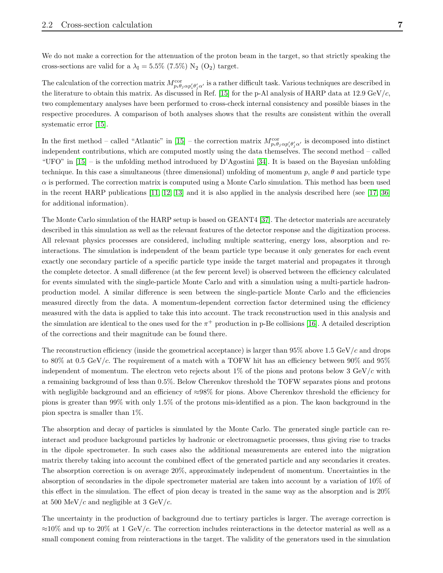We do not make a correction for the attenuation of the proton beam in the target, so that strictly speaking the cross-sections are valid for a  $\lambda_I = 5.5\%$  (7.5%) N<sub>2</sub> (O<sub>2</sub>) target.

The calculation of the correction matrix  $M_{p_i\theta_j\alpha p'_i\theta'_j\alpha'}^{cor}$  is a rather difficult task. Various techniques are described in the literature to obtain this matrix. As discussed in Ref. [\[15\]](#page-14-14) for the p-Al analysis of HARP data at 12.9 GeV/c, two complementary analyses have been performed to cross-check internal consistency and possible biases in the respective procedures. A comparison of both analyses shows that the results are consistent within the overall systematic error [\[15\]](#page-14-14).

In the first method – called "Atlantic" in [\[15\]](#page-14-14) – the correction matrix  $M_{p_i\theta_j\alpha p'_i\theta'_j\alpha'}^{cor}$  is decomposed into distinct independent contributions, which are computed mostly using the data themselves. The second method – called "UFO" in [\[15\]](#page-14-14) – is the unfolding method introduced by D'Agostini [\[34\]](#page-15-17). It is based on the Bayesian unfolding technique. In this case a simultaneous (three dimensional) unfolding of momentum p, angle  $\theta$  and particle type  $\alpha$  is performed. The correction matrix is computed using a Monte Carlo simulation. This method has been used in the recent HARP publications [\[11,](#page-14-10) [12,](#page-14-11) [13\]](#page-14-12) and it is also applied in the analysis described here (see [\[17,](#page-15-0) [36\]](#page-15-18) for additional information).

The Monte Carlo simulation of the HARP setup is based on GEANT4 [\[37\]](#page-15-19). The detector materials are accurately described in this simulation as well as the relevant features of the detector response and the digitization process. All relevant physics processes are considered, including multiple scattering, energy loss, absorption and reinteractions. The simulation is independent of the beam particle type because it only generates for each event exactly one secondary particle of a specific particle type inside the target material and propagates it through the complete detector. A small difference (at the few percent level) is observed between the efficiency calculated for events simulated with the single-particle Monte Carlo and with a simulation using a multi-particle hadronproduction model. A similar difference is seen between the single-particle Monte Carlo and the efficiencies measured directly from the data. A momentum-dependent correction factor determined using the efficiency measured with the data is applied to take this into account. The track reconstruction used in this analysis and the simulation are identical to the ones used for the  $\pi^+$  production in p-Be collisions [\[16\]](#page-14-15). A detailed description of the corrections and their magnitude can be found there.

The reconstruction efficiency (inside the geometrical acceptance) is larger than 95% above 1.5 GeV/c and drops to 80% at 0.5 GeV/c. The requirement of a match with a TOFW hit has an efficiency between 90% and 95% independent of momentum. The electron veto rejects about 1% of the pions and protons below 3 GeV/c with a remaining background of less than 0.5%. Below Cherenkov threshold the TOFW separates pions and protons with negligible background and an efficiency of ≈98% for pions. Above Cherenkov threshold the efficiency for pions is greater than 99% with only 1.5% of the protons mis-identified as a pion. The kaon background in the pion spectra is smaller than 1%.

The absorption and decay of particles is simulated by the Monte Carlo. The generated single particle can reinteract and produce background particles by hadronic or electromagnetic processes, thus giving rise to tracks in the dipole spectrometer. In such cases also the additional measurements are entered into the migration matrix thereby taking into account the combined effect of the generated particle and any secondaries it creates. The absorption correction is on average 20%, approximately independent of momentum. Uncertainties in the absorption of secondaries in the dipole spectrometer material are taken into account by a variation of 10% of this effect in the simulation. The effect of pion decay is treated in the same way as the absorption and is 20% at 500 MeV/c and negligible at 3 GeV/c.

The uncertainty in the production of background due to tertiary particles is larger. The average correction is  $\approx$ 10% and up to 20% at 1 GeV/c. The correction includes reinteractions in the detector material as well as a small component coming from reinteractions in the target. The validity of the generators used in the simulation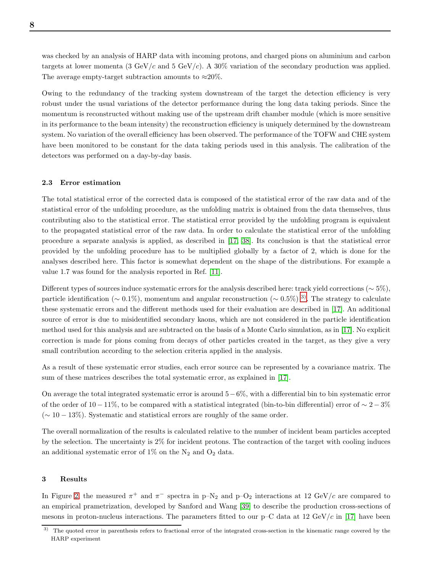was checked by an analysis of HARP data with incoming protons, and charged pions on aluminium and carbon targets at lower momenta (3 GeV/c and 5 GeV/c). A 30% variation of the secondary production was applied. The average empty-target subtraction amounts to  $\approx 20\%$ .

Owing to the redundancy of the tracking system downstream of the target the detection efficiency is very robust under the usual variations of the detector performance during the long data taking periods. Since the momentum is reconstructed without making use of the upstream drift chamber module (which is more sensitive in its performance to the beam intensity) the reconstruction efficiency is uniquely determined by the downstream system. No variation of the overall efficiency has been observed. The performance of the TOFW and CHE system have been monitored to be constant for the data taking periods used in this analysis. The calibration of the detectors was performed on a day-by-day basis.

#### <span id="page-8-0"></span>2.3 Error estimation

The total statistical error of the corrected data is composed of the statistical error of the raw data and of the statistical error of the unfolding procedure, as the unfolding matrix is obtained from the data themselves, thus contributing also to the statistical error. The statistical error provided by the unfolding program is equivalent to the propagated statistical error of the raw data. In order to calculate the statistical error of the unfolding procedure a separate analysis is applied, as described in [\[17,](#page-15-0) [38\]](#page-15-20). Its conclusion is that the statistical error provided by the unfolding procedure has to be multiplied globally by a factor of 2, which is done for the analyses described here. This factor is somewhat dependent on the shape of the distributions. For example a value 1.7 was found for the analysis reported in Ref. [\[11\]](#page-14-10).

Different types of sources induce systematic errors for the analysis described here: track yield corrections (∼ 5%), particle identification ( $\sim 0.1\%$ ), momentum and angular reconstruction ( $\sim 0.5\%$ )<sup>[3\)](#page-8-1)</sup>. The strategy to calculate these systematic errors and the different methods used for their evaluation are described in [\[17\]](#page-15-0). An additional source of error is due to misidentified secondary kaons, which are not considered in the particle identification method used for this analysis and are subtracted on the basis of a Monte Carlo simulation, as in [\[17\]](#page-15-0). No explicit correction is made for pions coming from decays of other particles created in the target, as they give a very small contribution according to the selection criteria applied in the analysis.

As a result of these systematic error studies, each error source can be represented by a covariance matrix. The sum of these matrices describes the total systematic error, as explained in [\[17\]](#page-15-0).

On average the total integrated systematic error is around  $5-6\%$ , with a differential bin to bin systematic error of the order of 10 − 11%, to be compared with a statistical integrated (bin-to-bin differential) error of  $\sim 2-3\%$  $({\sim 10-13\%})$ . Systematic and statistical errors are roughly of the same order.

The overall normalization of the results is calculated relative to the number of incident beam particles accepted by the selection. The uncertainty is 2% for incident protons. The contraction of the target with cooling induces an additional systematic error of  $1\%$  on the N<sub>2</sub> and O<sub>2</sub> data.

#### 3 Results

In Figure [2,](#page-9-0) the measured  $\pi^+$  and  $\pi^-$  spectra in p–N<sub>2</sub> and p–O<sub>2</sub> interactions at 12 GeV/c are compared to an empirical prametrization, developed by Sanford and Wang [\[39\]](#page-15-21) to describe the production cross-sections of mesons in proton-nucleus interactions. The parameters fitted to our  $p-C$  data at 12 GeV/c in [\[17\]](#page-15-0) have been

<span id="page-8-1"></span><sup>3)</sup> The quoted error in parenthesis refers to fractional error of the integrated cross-section in the kinematic range covered by the HARP experiment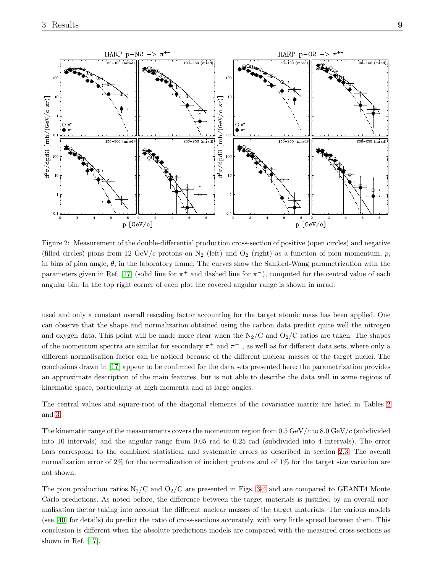

<span id="page-9-0"></span>Figure 2: Measurement of the double-differential production cross-section of positive (open circles) and negative (filled circles) pions from 12 GeV/c protons on  $N_2$  (left) and  $O_2$  (right) as a function of pion momentum, p, in bins of pion angle,  $\theta$ , in the laboratory frame. The curves show the Sanford-Wang parametrization with the parameters given in Ref. [\[17\]](#page-15-0) (solid line for  $\pi^+$  and dashed line for  $\pi^-$ ), computed for the central value of each angular bin. In the top right corner of each plot the covered angular range is shown in mrad.

used and only a constant overall rescaling factor accounting for the target atomic mass has been applied. One can observe that the shape and normalization obtained using the carbon data predict quite well the nitrogen and oxygen data. This point will be made more clear when the  $N_2/C$  and  $O_2/C$  ratios are taken. The shapes of the momentum spectra are similar for secondary  $\pi^+$  and  $\pi^-$  , as well as for different data sets, where only a different normalisation factor can be noticed because of the different nuclear masses of the target nuclei. The conclusions drawn in [\[17\]](#page-15-0) appear to be confirmed for the data sets presented here: the parametrization provides an approximate description of the main features, but is not able to describe the data well in some regions of kinematic space, particularly at high momenta and at large angles.

The central values and square-root of the diagonal elements of the covariance matrix are listed in Tables [2](#page-10-0) and [3.](#page-11-0)

The kinematic range of the measurements covers the momentum region from  $0.5 \,\text{GeV}/c$  to  $8.0 \,\text{GeV}/c$  (subdivided into 10 intervals) and the angular range from 0.05 rad to 0.25 rad (subdivided into 4 intervals). The error bars correspond to the combined statistical and systematic errors as described in section [2.3.](#page-8-0) The overall normalization error of 2% for the normalization of incident protons and of 1% for the target size variation are not shown.

The pion production ratios  $N_2/C$  and  $O_2/C$  are presented in Figs. [3-](#page-12-0)[4](#page-13-0) and are compared to GEANT4 Monte Carlo predictions. As noted before, the difference between the target materials is justified by an overall normalisation factor taking into account the different nuclear masses of the target materials. The various models (see [\[40\]](#page-15-22) for details) do predict the ratio of cross-sections accurately, with very little spread between them. This conclusion is different when the absolute predictions models are compared with the measured cross-sections as shown in Ref. [\[17\]](#page-15-0).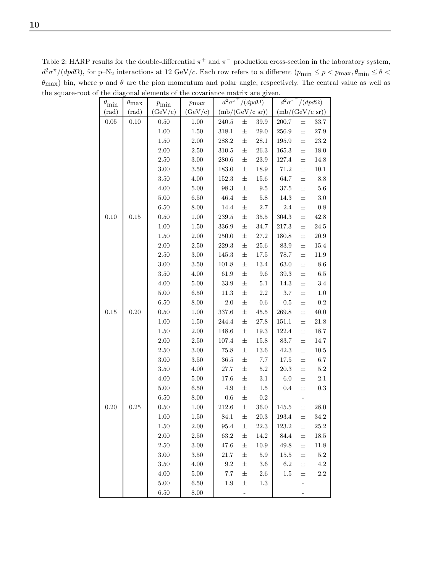<span id="page-10-0"></span> $\theta_{\min}$   $\theta_{\max}$   $p_{\min}$   $p_{\max}$  $\int^2 \sigma^{\pi^+}/(dpd\Omega)$  d  $\sqrt[2]{a^{\pi^-}/(dp d\Omega)}$  $(\text{rad})$   $(\text{rad})$   $(\text{GeV/c})$   $(\text{GeV/c})$   $(\text{mb}/(\text{GeV/c sr}))$   $(\text{mb}/(\text{GeV/c sr}))$ 0.05 0.10 0.50 1.00  $240.5 \pm 39.9$  200.7  $\pm$  33.7 1.00 1.50 318.1 ± 29.0 256.9 ± 27.9 1.50 2.00 288.2 ± 28.1 195.9 ± 23.2 2.00 | 2.50 | 310.5  $\pm$  26.3 | 165.3  $\pm$  18.0 2.50 3.00 280.6 ± 23.9 127.4 ± 14.8 3.00 3.50 183.0 ± 18.9 71.2 ± 10.1 3.50  $\begin{array}{|l|c|c|c|c|c|c|c|c|} \hline \end{array}$  4.00  $\begin{array}{|l|c|c|c|c|c|} \hline \end{array}$  152.3  $\pm$  15.6  $\begin{array}{|l|c|c|c|c|} \hline \end{array}$  64.7  $\pm$  8.8 4.00  $\begin{array}{|l} 5.00 \end{array}$  98.3  $\pm$  9.5 37.5  $\pm$  5.6 5.00 6.50 46.4 ± 5.8 14.3 ± 3.0 6.50  $\begin{array}{|c|c|c|c|c|c|c|c|} \hline \end{array}$  8.00  $\begin{array}{|c|c|c|c|c|c|c|} \hline \end{array}$  14.4  $\pm$  2.7  $\begin{array}{|c|c|c|c|c|c|} \hline \end{array}$  2.4  $\pm$  0.8  $0.10$  |  $0.15$  |  $0.50$  |  $1.00$  |  $239.5 \pm 35.5$  |  $304.3 \pm 42.8$ 1.00 1.50 336.9 ± 34.7 217.3 ± 24.5 1.50 2.00 250.0 ± 27.2 180.8 ± 20.9 2.00 | 2.50 | 229.3  $\pm$  25.6 | 83.9  $\pm$  15.4 2.50  $\begin{array}{|l}\n 2.50 \\
 \end{array}$  3.00  $\begin{array}{|l}\n 145.3 \\
 \pm 17.5\n \end{array}$  78.7  $\pm$  11.9 3.00 3.50 101.8 ± 13.4 63.0 ± 8.6 3.50  $\begin{array}{|c|c|c|c|c|c|c|c|} \hline \end{array}$  4.00  $\begin{array}{|c|c|c|c|c|c|} \hline \end{array}$  61.9  $\pm$  9.6  $\begin{array}{|c|c|c|c|c|} \hline \end{array}$  39.3  $\pm$  6.5 4.00 5.00 33.9 ± 5.1 14.3 ± 3.4 5.00  $\begin{array}{|l}\n6.50 \\
\end{array}$   $\begin{array}{|l}\n11.3 \\
\pm \end{array}$  2.2  $\begin{array}{|l}\n3.7 \\
\pm \end{array}$  1.0 6.50  $\begin{array}{|c|c|c|c|c|c|c|c|} \hline \end{array}$  6.50  $\begin{array}{|c|c|c|c|c|c|c|c|} \hline \end{array}$  8.00  $\begin{array}{|c|c|c|c|c|c|} \hline \end{array}$  2.0  $\pm$  0.6  $\begin{array}{|c|c|c|c|c|c|} \hline \end{array}$  0.5  $\pm$  0.2  $0.15$  |  $0.20$  |  $0.50$  |  $1.00$  |  $337.6 \pm 45.5$  |  $269.8 \pm 40.0$ 1.00 1.50 244.4 ± 27.8 151.1 ± 21.8 1.50 2.00 148.6 ± 19.3 122.4 ± 18.7 2.00 | 2.50 | 107.4  $\pm$  15.8 | 83.7  $\pm$  14.7 2.50 3.00 75.8 ± 13.6 42.3 ± 10.5 3.00  $\begin{array}{|l} 3.50 \end{array}$  36.5  $\pm$  7.7 | 17.5  $\pm$  6.7 3.50  $\begin{array}{|l|c|c|c|c|c|c|c|} \hline \end{array}$  4.00  $\begin{array}{|l|c|c|c|c|c|} \hline \end{array}$  20.3  $\pm$  5.2 4.00 5.00 17.6 ± 3.1 6.0 ± 2.1 5.00 6.50  $4.9 \pm 1.5$  0.4  $\pm$  0.3 6.50  $\begin{array}{|c|c|c|c|c|c|} \hline 6.50 & 8.00 & 0.6 & \pm & 0.2 \end{array}$ 0.20 0.25 0.50 1.00 212.6 ± 36.0 145.5 ± 28.0 1.00 1.50 84.1 ± 20.3 193.4 ± 34.2 1.50 2.00 95.4 ± 22.3 123.2 ± 25.2 2.00 | 2.50 | 63.2  $\pm$  14.2 | 84.4  $\pm$  18.5 2.50 3.00 47.6 ± 10.9 49.8 ± 11.8 3.00 | 3.50 | 21.7  $\pm$  5.9 | 15.5  $\pm$  5.2 3.50  $\begin{array}{|c|c|c|c|c|c|} \hline \end{array}$  4.00  $\begin{array}{|c|c|c|c|c|} \hline \end{array}$  9.2  $\pm$  3.6  $\begin{array}{|c|c|c|c|c|} \hline \end{array}$  6.2  $\pm$  4.2 4.00  $\begin{array}{|l|c|c|c|c|c|c|c|} \hline 5.00 & 7.7 & \pm & 2.6 & 1.5 & \pm & 2.2 \ \hline \end{array}$  $5.00$   $\begin{array}{|l} 6.50 \end{array}$   $1.9 \pm 1.3$   $\begin{array}{|l} -1.3 \end{array}$  $6.50$   $8.00$  -  $-$  -

Table 2: HARP results for the double-differential  $\pi^+$  and  $\pi^-$  production cross-section in the laboratory system,  $d^2\sigma^{\pi}/(dpd\Omega)$ , for p–N<sub>2</sub> interactions at 12 GeV/c. Each row refers to a different  $(p_{\min} \le p < p_{\max}, \theta_{\min} \le \theta <$  $\theta_{\text{max}}$ ) bin, where p and  $\theta$  are the pion momentum and polar angle, respectively. The central value as well as the square-root of the diagonal elements of the covariance matrix are given.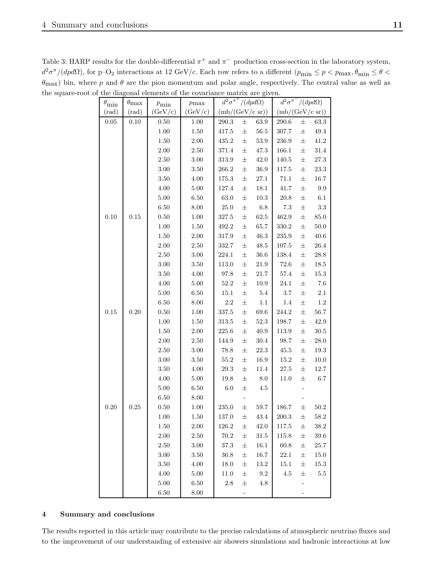<span id="page-11-0"></span>

|                    |                    | where $p$ and $\theta$ are the pion momentum and polar angle, respectively. The central value as |            |                 |                                 |                 |                           |                                 |            |  |
|--------------------|--------------------|--------------------------------------------------------------------------------------------------|------------|-----------------|---------------------------------|-----------------|---------------------------|---------------------------------|------------|--|
|                    |                    | oot of the diagonal elements of the covariance matrix are given.                                 |            |                 |                                 |                 |                           |                                 |            |  |
| $\theta_{\rm min}$ | $\theta_{\rm max}$ | $p_{\rm min}$                                                                                    | $p_{\max}$ |                 | $d^2\sigma^{\pi^+}/(dpd\Omega)$ |                 |                           | $d^2\sigma^{\pi^-}/(dpd\Omega)$ |            |  |
| $(\mathrm{rad})$   | $(\text{rad})$     | (GeV/c)                                                                                          | (GeV/c)    | (mb/(GeV/c sr)) |                                 |                 | $(mb/(GeV/c \text{ sr}))$ |                                 |            |  |
| $0.05\,$           | $0.10\,$           | 0.50                                                                                             | 1.00       | $290.3\,$       | 士                               | 63.9            | 290.6                     | $\pm$                           | 63.3       |  |
|                    |                    | $1.00\,$                                                                                         | $1.50\,$   | 417.5           | $_{\pm}$                        | $56.5\,$        | $307.7\,$                 | $\pm$                           | $\rm 49.4$ |  |
|                    |                    | $1.50\,$                                                                                         | $2.00\,$   | 435.2           | $_{\pm}$                        | $53.9\,$        | $236.9\,$                 | $\pm$                           | $41.2\,$   |  |
|                    |                    | $2.00\,$                                                                                         | $2.50\,$   | $371.4\,$       | $\pm$                           | 47.3            | 166.1                     | $\pm$                           | $31.4\,$   |  |
|                    |                    | $2.50\,$                                                                                         | $3.00\,$   | $313.9\,$       | 士                               | $42.0\,$        | $140.5\,$                 | 士                               | $27.3\,$   |  |
|                    |                    | $3.00\,$                                                                                         | $3.50\,$   | $266.2\,$       | $_{\pm}$                        | $36.9\,$        | $117.5\,$                 | 士                               | $23.3\,$   |  |
|                    |                    | $3.50\,$                                                                                         | $4.00\,$   | 175.3           | $_{\pm}$                        | $27.1\,$        | $71.1\,$                  | $\pm$                           | $16.7\,$   |  |
|                    |                    | $4.00\,$                                                                                         | $5.00\,$   | 127.4           | 士                               | $18.1\,$        | 41.7                      | $\pm$                           | $\rm 9.9$  |  |
|                    |                    | $5.00\,$                                                                                         | $6.50\,$   | $63.0\,$        | $\pm$                           | $10.3\,$        | $20.8\,$                  | 士                               | $6.1\,$    |  |
|                    |                    | $6.50\,$                                                                                         | $8.00\,$   | $25.0\,$        | $\pm$                           | $6.8\,$         | $7.3\,$                   | $\pm$                           | $3.3\,$    |  |
| $0.10\,$           | $0.15\,$           | $0.50\,$                                                                                         | $1.00\,$   | $327.5\,$       | 士                               | $62.5\,$        | 462.9                     | 士                               | $85.0\,$   |  |
|                    |                    | $1.00\,$                                                                                         | $1.50\,$   | 492.2           | $\pm$                           | 65.7            | $330.2\,$                 | $\pm$                           | $50.0\,$   |  |
|                    |                    | $1.50\,$                                                                                         | $2.00\,$   | $317.9\,$       | $_{\pm}$                        | $46.3\,$        | $235.9\,$                 | 士                               | $40.6\,$   |  |
|                    |                    | $2.00\,$                                                                                         | $2.50\,$   | 332.7           | $\pm$                           | $48.5\,$        | $107.5\,$                 | 士                               | $26.4\,$   |  |
|                    |                    | $2.50\,$                                                                                         | $3.00\,$   | $224.1\,$       | $\pm$                           | $36.6\,$        | $138.4\,$                 | $\pm$                           | $28.8\,$   |  |
|                    |                    | $3.00\,$                                                                                         | $3.50\,$   | $113.0\,$       | 士                               | $21.9\,$        | $72.6\,$                  | 士                               | $18.5\,$   |  |
|                    |                    | $3.50\,$                                                                                         | $4.00\,$   | 97.8            | $\pm$                           | $21.7\,$        | $57.4\,$                  | $\pm$                           | $15.3\,$   |  |
|                    |                    | $4.00\,$                                                                                         | $5.00\,$   | $52.2\,$        | 士                               | $10.9\,$        | $24.1\,$                  | $\pm$                           | $7.6\,$    |  |
|                    |                    | $5.00\,$                                                                                         | $6.50\,$   | $15.1\,$        | $\pm$                           | $5.4\,$         | $3.7\,$                   | $\pm$                           | $2.1\,$    |  |
|                    |                    | $6.50\,$                                                                                         | $8.00\,$   | $2.2\,$         | $\pm$                           | $1.1\,$         | $1.4\,$                   | $\pm$                           | $1.2\,$    |  |
| $0.15\,$           | $0.20\,$           | $0.50\,$                                                                                         | $1.00\,$   | $337.5\,$       | 士                               | $69.6\,$        | 244.2                     | 士                               | $56.7\,$   |  |
|                    |                    | $1.00\,$                                                                                         | $1.50\,$   | $313.5\,$       | $_{\pm}$                        | 52.3            | 198.7                     | $\pm$                           | $42.9\,$   |  |
|                    |                    | $1.50\,$                                                                                         | $2.00\,$   | $225.6\,$       | $_{\pm}$                        | $40.9\,$        | $113.9\,$                 | $\pm$                           | $30.5\,$   |  |
|                    |                    | $2.00\,$                                                                                         | $2.50\,$   | 144.9           | $\pm$                           | $30.4\,$        | $98.7\,$                  | $\pm$                           | $28.0\,$   |  |
|                    |                    | $2.50\,$                                                                                         | $3.00\,$   | $78.8\,$        | $\pm$                           | $22.3\,$        | $45.5\,$                  | 士                               | $19.3\,$   |  |
|                    |                    | $3.00\,$                                                                                         | $3.50\,$   | $55.2\,$        | 士                               | $16.9\,$        | $15.2\,$                  | 士                               | $10.0\,$   |  |
|                    |                    | $3.50\,$                                                                                         | $4.00\,$   | $29.3\,$        | $\pm$                           | $11.4\,$        | $27.5\,$                  | 士                               | $12.7\,$   |  |
|                    |                    | $4.00\,$                                                                                         | $5.00\,$   | $19.8\,$        | $\pm$                           | $\!\!\!\!\!8.0$ | $11.0\,$                  | $\pm$                           | $6.7\,$    |  |
|                    |                    | $5.00\,$                                                                                         | $6.50\,$   | $6.0\,$         | $\pm$                           | $4.5\,$         |                           |                                 |            |  |
|                    |                    | $6.50\,$                                                                                         | 8.00       |                 |                                 |                 |                           |                                 |            |  |
| $0.20\,$           | 0.25               | $0.50\,$                                                                                         | 1.00       | $235.0\,$       | 士                               | $59.7\,$        | 186.7                     | 士                               | $50.2\,$   |  |
|                    |                    | $1.00\,$                                                                                         | $1.50\,$   | $137.0\,$       | 士                               | $43.4\,$        | $200.3\,$                 | 士                               | $58.2\,$   |  |
|                    |                    | 1.50                                                                                             | $2.00\,$   | 126.2           | 士                               | $42.0\,$        | $117.5\,$                 | 士                               | $38.2\,$   |  |
|                    |                    | $2.00\,$                                                                                         | $2.50\,$   | $70.2\,$        | 士                               | $31.5\,$        | 115.8                     | 士                               | $39.6\,$   |  |
|                    |                    | $2.50\,$                                                                                         | $3.00\,$   | $37.3\,$        | 士                               | $16.1\,$        | $60.8\,$                  | 士                               | $25.7\,$   |  |
|                    |                    | $3.00\,$                                                                                         | $3.50\,$   | $36.8\,$        | 士                               | 16.7            | $22.1\,$                  | 士                               | 15.0       |  |
|                    |                    | $3.50\,$                                                                                         | $4.00\,$   | $18.0\,$        | 士                               | $13.2\,$        | 15.1                      | 士                               | 15.3       |  |
|                    |                    | $4.00\,$                                                                                         | $5.00\,$   | $11.0\,$        | $\pm$                           | 9.2             | $4.5\,$                   | 士                               | $5.5\,$    |  |
|                    |                    | $5.00\,$                                                                                         | $6.50\,$   | $2.8\,$         | $_{\pm}$                        | $4.8\,$         |                           | $\overline{\phantom{0}}$        |            |  |

Table 3: HARP results for the double-differential  $\pi^+$  and  $\pi^-$  production cross-section in the laboratory system,  $d^2\sigma^{\pi}/(dpd\Omega)$ , for p–O<sub>2</sub> interactions at 12 GeV/c. Each row refers to a different  $(p_{\min} \le p < p_{\max}, \theta_{\min} \le \theta <$  $\theta_{\text{max}}$ ) bin, where p and  $\theta$  are the pion momentum and polar angle, respectively. The central value as well as the square-ro

## 4 Summary and conclusions

The results reported in this article may contribute to the precise calculations of atmospheric neutrino fluxes and to the improvement of our understanding of extensive air showers simulations and hadronic interactions at low

 $6.50$   $8.00$  -  $-$  -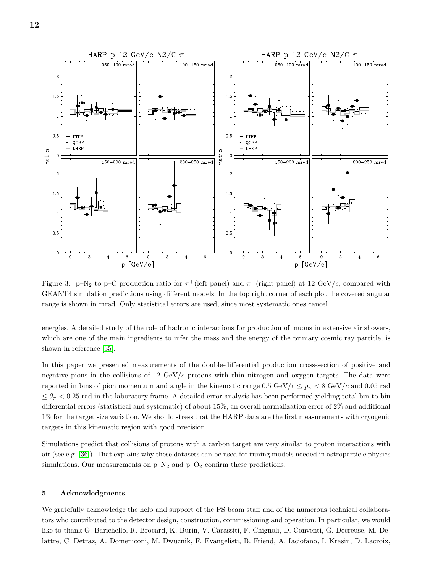



<span id="page-12-0"></span>Figure 3: p–N<sub>2</sub> to p–C production ratio for  $\pi^+$ (left panel) and  $\pi^-$ (right panel) at 12 GeV/c, compared with GEANT4 simulation predictions using different models. In the top right corner of each plot the covered angular range is shown in mrad. Only statistical errors are used, since most systematic ones cancel.

energies. A detailed study of the role of hadronic interactions for production of muons in extensive air showers, which are one of the main ingredients to infer the mass and the energy of the primary cosmic ray particle, is shown in reference [\[35\]](#page-15-23).

In this paper we presented measurements of the double-differential production cross-section of positive and negative pions in the collisions of 12 GeV/c protons with thin nitrogen and oxygen targets. The data were reported in bins of pion momentum and angle in the kinematic range  $0.5 \text{ GeV}/c \leq p_{\pi} < 8 \text{ GeV}/c$  and  $0.05 \text{ rad}$  $\leq \theta_{\pi} < 0.25$  rad in the laboratory frame. A detailed error analysis has been performed yielding total bin-to-bin differential errors (statistical and systematic) of about 15%, an overall normalization error of 2% and additional 1% for the target size variation. We should stress that the HARP data are the first measurements with cryogenic targets in this kinematic region with good precision.

Simulations predict that collisions of protons with a carbon target are very similar to proton interactions with air (see e.g. [\[36\]](#page-15-18)). That explains why these datasets can be used for tuning models needed in astroparticle physics simulations. Our measurements on  $p-N_2$  and  $p-O_2$  confirm these predictions.

### 5 Acknowledgments

We gratefully acknowledge the help and support of the PS beam staff and of the numerous technical collaborators who contributed to the detector design, construction, commissioning and operation. In particular, we would like to thank G. Barichello, R. Brocard, K. Burin, V. Carassiti, F. Chignoli, D. Conventi, G. Decreuse, M. Delattre, C. Detraz, A. Domeniconi, M. Dwuznik, F. Evangelisti, B. Friend, A. Iaciofano, I. Krasin, D. Lacroix,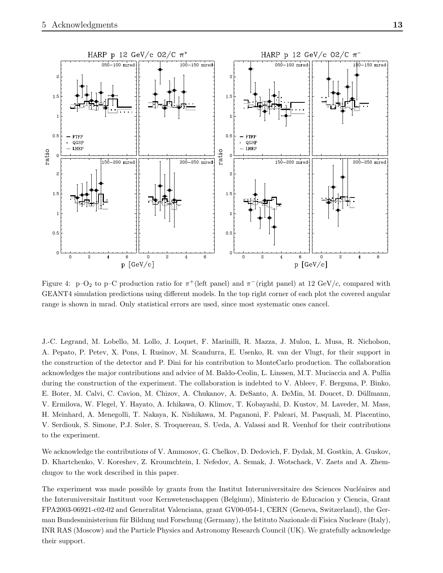

<span id="page-13-0"></span>Figure 4: p-O<sub>2</sub> to p-C production ratio for  $\pi^+$ (left panel) and  $\pi^-$ (right panel) at 12 GeV/c, compared with GEANT4 simulation predictions using different models. In the top right corner of each plot the covered angular range is shown in mrad. Only statistical errors are used, since most systematic ones cancel.

J.-C. Legrand, M. Lobello, M. Lollo, J. Loquet, F. Marinilli, R. Mazza, J. Mulon, L. Musa, R. Nicholson, A. Pepato, P. Petev, X. Pons, I. Rusinov, M. Scandurra, E. Usenko, R. van der Vlugt, for their support in the construction of the detector and P. Dini for his contribution to MonteCarlo production. The collaboration acknowledges the major contributions and advice of M. Baldo-Ceolin, L. Linssen, M.T. Muciaccia and A. Pullia during the construction of the experiment. The collaboration is indebted to V. Ableev, F. Bergsma, P. Binko, E. Boter, M. Calvi, C. Cavion, M. Chizov, A. Chukanov, A. DeSanto, A. DeMin, M. Doucet, D. Düllmann, V. Ermilova, W. Flegel, Y. Hayato, A. Ichikawa, O. Klimov, T. Kobayashi, D. Kustov, M. Laveder, M. Mass, H. Meinhard, A. Menegolli, T. Nakaya, K. Nishikawa, M. Paganoni, F. Paleari, M. Pasquali, M. Placentino, V. Serdiouk, S. Simone, P.J. Soler, S. Troquereau, S. Ueda, A. Valassi and R. Veenhof for their contributions to the experiment.

We acknowledge the contributions of V. Ammosov, G. Chelkov, D. Dedovich, F. Dydak, M. Gostkin, A. Guskov, D. Khartchenko, V. Koreshev, Z. Kroumchtein, I. Nefedov, A. Semak, J. Wotschack, V. Zaets and A. Zhemchugov to the work described in this paper.

The experiment was made possible by grants from the Institut Interuniversitaire des Sciences Nucléaires and the Interuniversitair Instituut voor Kernwetenschappen (Belgium), Ministerio de Educacion y Ciencia, Grant FPA2003-06921-c02-02 and Generalitat Valenciana, grant GV00-054-1, CERN (Geneva, Switzerland), the German Bundesministerium für Bildung und Forschung (Germany), the Istituto Nazionale di Fisica Nucleare (Italy), INR RAS (Moscow) and the Particle Physics and Astronomy Research Council (UK). We gratefully acknowledge their support.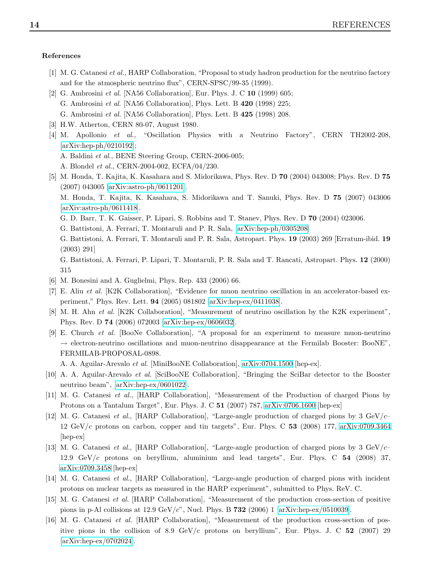## <span id="page-14-0"></span>References

- <span id="page-14-1"></span>[1] M. G. Catanesi et al., HARP Collaboration, "Proposal to study hadron production for the neutrino factory and for the atmospheric neutrino flux", CERN-SPSC/99-35 (1999).
- [2] G. Ambrosini et al. [NA56 Collaboration], Eur. Phys. J. C 10 (1999) 605; G. Ambrosini et al. [NA56 Collaboration], Phys. Lett. B 420 (1998) 225; G. Ambrosini et al. [NA56 Collaboration], Phys. Lett. B 425 (1998) 208.
- <span id="page-14-3"></span><span id="page-14-2"></span>[3] H.W. Atherton, CERN 80-07, August 1980.
- [4] M. Apollonio et al., "Oscillation Physics with a Neutrino Factory", CERN TH2002-208, [\[arXiv:hep-ph/0210192\]](http://arXiv.org/abs/hep-ph/0210192);
	- A. Baldini et al., BENE Steering Group, CERN-2006-005;
	- A. Blondel et al., CERN-2004-002, ECFA/04/230.
- <span id="page-14-4"></span>[5] M. Honda, T. Kajita, K. Kasahara and S. Midorikawa, Phys. Rev. D 70 (2004) 043008; Phys. Rev. D 75 (2007) 043005 [\[arXiv:astro-ph/0611201\]](http://arXiv.org/abs/astro-ph/0611201).
	- M. Honda, T. Kajita, K. Kasahara, S. Midorikawa and T. Sanuki, Phys. Rev. D 75 (2007) 043006 [\[arXiv:astro-ph/0611418\]](http://arXiv.org/abs/astro-ph/0611418).
	- G. D. Barr, T. K. Gaisser, P. Lipari, S. Robbins and T. Stanev, Phys. Rev. D 70 (2004) 023006.
	- G. Battistoni, A. Ferrari, T. Montaruli and P. R. Sala, [\[arXiv:hep-ph/0305208\]](http://arXiv.org/abs/hep-ph/0305208)
	- G. Battistoni, A. Ferrari, T. Montaruli and P. R. Sala, Astropart. Phys. 19 (2003) 269 [Erratum-ibid. 19 (2003) 291]
	- G. Battistoni, A. Ferrari, P. Lipari, T. Montaruli, P. R. Sala and T. Rancati, Astropart. Phys. 12 (2000) 315
- <span id="page-14-6"></span><span id="page-14-5"></span>[6] M. Bonesini and A. Guglielmi, Phys. Rep. 433 (2006) 66.
- <span id="page-14-7"></span>[7] E. Aliu et al. [K2K Collaboration], "Evidence for muon neutrino oscillation in an accelerator-based experiment," Phys. Rev. Lett. 94 (2005) 081802 [\[arXiv:hep-ex/0411038\]](http://arXiv.org/abs/hep-ex/0411038).
- <span id="page-14-8"></span>[8] M. H. Ahn et al. [K2K Collaboration], "Measurement of neutrino oscillation by the K2K experiment", Phys. Rev. D 74 (2006) 072003 [\[arXiv:hep-ex/0606032\]](http://arXiv.org/abs/hep-ex/0606032).
- [9] E. Church et al. [BooNe Collaboration], "A proposal for an experiment to measure muon-neutrino  $\rightarrow$  electron-neutrino oscillations and muon-neutrino disappearance at the Fermilab Booster: BooNE". FERMILAB-PROPOSAL-0898.

A. A. Aguilar-Arevalo et al. [MiniBooNE Collaboration], [arXiv:0704.1500](http://arXiv.org/abs/0704.1500) [hep-ex].

- <span id="page-14-10"></span><span id="page-14-9"></span>[10] A. A. Aguilar-Arevalo et al. [SciBooNE Collaboration], "Bringing the SciBar detector to the Booster neutrino beam", [\[arXiv:hep-ex/0601022\]](http://arXiv.org/abs/hep-ex/0601022).
- <span id="page-14-11"></span>[11] M. G. Catanesi et al., [HARP Collaboration], "Measurement of the Production of charged Pions by Protons on a Tantalum Target", Eur. Phys. J. C 51 (2007) 787, [arXiv:0706.1600](http://arXiv.org/abs/0706.1600) [hep-ex]
- [12] M. G. Catanesi *et al.*, [HARP Collaboration], "Large-angle production of charged pions by 3 GeV/ $c$  12 GeV/c protons on carbon, copper and tin targets", Eur. Phys. C 53 (2008) 177, [arXiv:0709.3464](http://arXiv.org/abs/0709.3464) [hep-ex]
- <span id="page-14-12"></span>[13] M. G. Catanesi et al., [HARP Collaboration], "Large-angle production of charged pions by 3 GeV/ $c-$ 12.9  $GeV/c$  protons on beryllium, aluminium and lead targets", Eur. Phys. C  $54$  (2008) 37, [arXiv:0709.3458](http://arXiv.org/abs/0709.3458) [hep-ex]
- <span id="page-14-14"></span><span id="page-14-13"></span>[14] M. G. Catanesi et al., [HARP Collaboration], "Large-angle production of charged pions with incident protons on nuclear targets as measured in the HARP experiment", submitted to Phys. ReV. C.
- <span id="page-14-15"></span>[15] M. G. Catanesi et al. [HARP Collaboration], "Measurement of the production cross-section of positive pions in p-Al collisions at 12.9 GeV/c", Nucl. Phys. B 732 (2006) 1 [\[arXiv:hep-ex/0510039\]](http://arXiv.org/abs/hep-ex/0510039).
- [16] M. G. Catanesi et al. [HARP Collaboration], "Measurement of the production cross-section of positive pions in the collision of 8.9 GeV/c protons on beryllium", Eur. Phys. J. C 52 (2007) 29 [\[arXiv:hep-ex/0702024\]](http://arXiv.org/abs/hep-ex/0702024).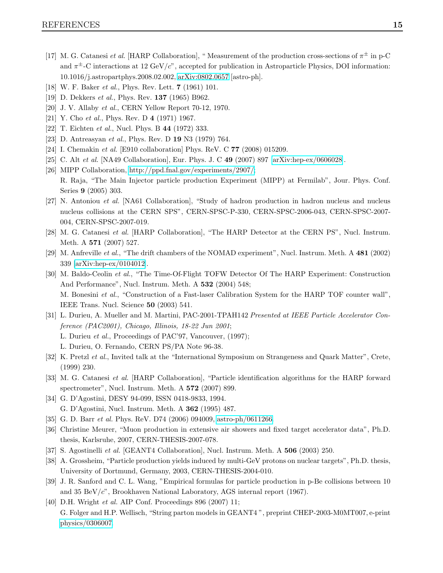- <span id="page-15-0"></span>[17] M. G. Catanesi *et al.* [HARP Collaboration], "Measurement of the production cross-sections of  $\pi^{\pm}$  in p-C and  $\pi^{\pm}$ -C interactions at 12 GeV/c", accepted for publication in Astroparticle Physics, DOI information: 10.1016/j.astropartphys.2008.02.002, [arXiv:0802.0657](http://arXiv.org/abs/0802.0657) [astro-ph].
- <span id="page-15-2"></span><span id="page-15-1"></span>[18] W. F. Baker *et al.*, Phys. Rev. Lett. **7** (1961) 101.
- <span id="page-15-3"></span>[19] D. Dekkers *et al.*, Phys. Rev. **137** (1965) B962.
- <span id="page-15-4"></span>[20] J. V. Allaby et al., CERN Yellow Report 70-12, 1970.
- <span id="page-15-5"></span>[21] Y. Cho et al., Phys. Rev. D 4 (1971) 1967.
- <span id="page-15-6"></span>[22] T. Eichten et al., Nucl. Phys. B 44 (1972) 333.
- <span id="page-15-7"></span>[23] D. Antreasyan et al., Phys. Rev. D 19 N3 (1979) 764.
- <span id="page-15-8"></span>[24] I. Chemakin *et al.* [E910 collaboration] Phys. ReV. C **77** (2008) 015209.
- <span id="page-15-9"></span>[25] C. Alt et al. [NA49 Collaboration], Eur. Phys. J. C 49 (2007) 897 [\[arXiv:hep-ex/0606028\]](http://arXiv.org/abs/hep-ex/0606028).
- [26] MIPP Collaboration, [http://ppd.fnal.gov/experiments/2907/;](http://ppd.fnal.gov/experiments/2907/) R. Raja, "The Main Injector particle production Experiment (MIPP) at Fermilab", Jour. Phys. Conf. Series 9 (2005) 303.
- <span id="page-15-10"></span>[27] N. Antoniou et al. [NA61 Collaboration], "Study of hadron production in hadron nucleus and nucleus nucleus collisions at the CERN SPS", CERN-SPSC-P-330, CERN-SPSC-2006-043, CERN-SPSC-2007- 004, CERN-SPSC-2007-019.
- <span id="page-15-12"></span><span id="page-15-11"></span>[28] M. G. Catanesi et al. [HARP Collaboration], "The HARP Detector at the CERN PS", Nucl. Instrum. Meth. A 571 (2007) 527.
- <span id="page-15-13"></span>[29] M. Anfreville et al., "The drift chambers of the NOMAD experiment", Nucl. Instrum. Meth. A 481 (2002) 339 [\[arXiv:hep-ex/0104012\]](http://arXiv.org/abs/hep-ex/0104012).
- [30] M. Baldo-Ceolin et al., "The Time-Of-Flight TOFW Detector Of The HARP Experiment: Construction And Performance", Nucl. Instrum. Meth. A 532 (2004) 548; M. Bonesini et al., "Construction of a Fast-laser Calibration System for the HARP TOF counter wall", IEEE Trans. Nucl. Science 50 (2003) 541.
- <span id="page-15-14"></span>[31] L. Durieu, A. Mueller and M. Martini, PAC-2001-TPAH142 Presented at IEEE Particle Accelerator Conference (PAC2001), Chicago, Illinois, 18-22 Jun 2001;
	- L. Durieu et al., Proceedings of PAC'97, Vancouver, (1997);
	- L. Durieu, O. Fernando, CERN PS/PA Note 96-38.
- <span id="page-15-16"></span><span id="page-15-15"></span>[32] K. Pretzl et al., Invited talk at the "International Symposium on Strangeness and Quark Matter", Crete, (1999) 230.
- <span id="page-15-17"></span>[33] M. G. Catanesi et al. [HARP Collaboration], "Particle identification algorithms for the HARP forward spectrometer", Nucl. Instrum. Meth. A 572 (2007) 899.
- <span id="page-15-23"></span>[34] G. D'Agostini, DESY 94-099, ISSN 0418-9833, 1994. G. D'Agostini, Nucl. Instrum. Meth. A 362 (1995) 487.
- <span id="page-15-18"></span>[35] G. D. Barr *et al.* Phys. ReV. D74 (2006) 094009, [astro-ph/0611266.](http://arXiv.org/abs/astro-ph/0611266)
- <span id="page-15-19"></span>[36] Christine Meurer, "Muon production in extensive air showers and fixed target accelerator data", Ph.D. thesis, Karlsruhe, 2007, CERN-THESIS-2007-078.
- <span id="page-15-20"></span>[37] S. Agostinelli et al. [GEANT4 Collaboration], Nucl. Instrum. Meth. A 506 (2003) 250.
- <span id="page-15-21"></span>[38] A. Grossheim, "Particle production yields induced by multi-GeV protons on nuclear targets", Ph.D. thesis, University of Dortmund, Germany, 2003, CERN-THESIS-2004-010.
- [39] J. R. Sanford and C. L. Wang, "Empirical formulas for particle production in p-Be collisions between 10 and 35 BeV/ $c$ ", Brookhaven National Laboratory, AGS internal report (1967).
- <span id="page-15-22"></span>[40] D.H. Wright *et al.* AIP Conf. Proceedings 896 (2007) 11; G. Folger and H.P. Wellisch, "String parton models in GEANT4 ", preprint CHEP-2003-M0MT007, e-print [physics/0306007.](http://arXiv.org/abs/physics/0306007)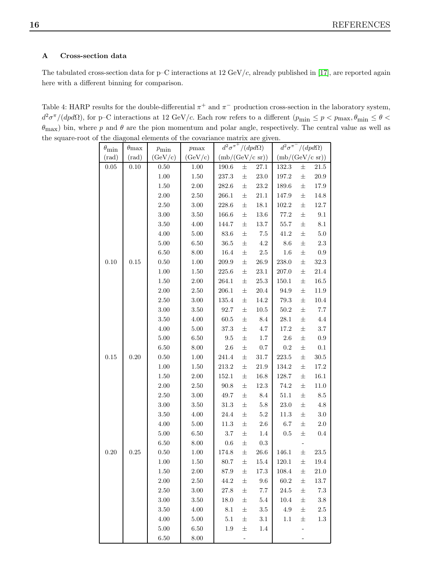## A Cross-section data

The tabulated cross-section data for p–C interactions at  $12 \text{ GeV}/c$ , already published in [\[17\]](#page-15-0), are reported again here with a different binning for comparison.

Table 4: HARP results for the double-differential  $\pi^+$  and  $\pi^-$  production cross-section in the laboratory system,  $d^2\sigma^{\pi}/(dpd\Omega)$ , for p–C interactions at 12 GeV/c. Each row refers to a different  $(p_{\min} \le p < p_{\max}, \theta_{\min} \le \theta <$  $\theta_{\text{max}}$ ) bin, where p and  $\theta$  are the pion momentum and polar angle, respectively. The central value as well as the square-root of the diagonal elements of the covariance matrix are given.

| $\theta_{\min}$ | $\theta_{\rm max}$ | $p_{\rm min}$ | $p_{\rm max}$ | $d^2\sigma^{\pi^+}/(dpd\Omega)$ |                           |           | $d^2\sigma^{\pi^-}/(dpd\Omega)$ |       |                 |
|-----------------|--------------------|---------------|---------------|---------------------------------|---------------------------|-----------|---------------------------------|-------|-----------------|
| $(\text{rad})$  | $(\text{rad})$     | (GeV/c)       | (GeV/c)       |                                 | $(mb/(GeV/c \text{ sr}))$ |           | (mb/(GeV/c sr))                 |       |                 |
| 0.05            | 0.10               | 0.50          | 1.00          | 190.6                           | $\pm$                     | 27.1      | 132.3                           | 士     | $21.5\,$        |
|                 |                    | $1.00\,$      | $1.50\,$      | 237.3                           | $\pm$                     | $23.0\,$  | 197.2                           | 士     | $20.9\,$        |
|                 |                    | $1.50\,$      | $2.00\,$      | 282.6                           | $\pm$                     | $23.2\,$  | 189.6                           | $\pm$ | 17.9            |
|                 |                    | $2.00\,$      | $2.50\,$      | 266.1                           | $\pm$                     | $21.1\,$  | 147.9                           | $\pm$ | 14.8            |
|                 |                    | $2.50\,$      | $3.00\,$      | 228.6                           | $\pm$                     | $18.1\,$  | $102.2\,$                       | 士     | $12.7\,$        |
|                 |                    | 3.00          | $3.50\,$      | 166.6                           | $\pm$                     | $13.6\,$  | 77.2                            | $\pm$ | $9.1\,$         |
|                 |                    | $3.50\,$      | $4.00\,$      | $144.7\,$                       | $\pm$                     | $13.7\,$  | $55.7\,$                        | $\pm$ | $8.1\,$         |
|                 |                    | 4.00          | $5.00\,$      | $83.6\,$                        | $\pm$                     | $7.5\,$   | $41.2\,$                        | $\pm$ | $5.0\,$         |
|                 |                    | $5.00\,$      | $6.50\,$      | $36.5\,$                        | $\pm$                     | $4.2\,$   | $8.6\,$                         | $\pm$ | $2.3\,$         |
|                 |                    | $6.50\,$      | $8.00\,$      | $16.4\,$                        | $\pm$                     | $2.5\,$   | $1.6\,$                         | 士     | $\rm 0.9$       |
| 0.10            | 0.15               | $0.50\,$      | $1.00\,$      | $\hphantom{0}209.9$             | $\pm$                     | $26.9\,$  | $238.0\,$                       | $\pm$ | $32.3\,$        |
|                 |                    | $1.00\,$      | $1.50\,$      | $225.6\,$                       | $\pm$                     | $23.1\,$  | $207.0\,$                       | $\pm$ | $21.4\,$        |
|                 |                    | $1.50\,$      | $2.00\,$      | 264.1                           | $\pm$                     | $25.3\,$  | $150.1\,$                       | $\pm$ | 16.5            |
|                 |                    | $2.00\,$      | $2.50\,$      | 206.1                           | $\pm$                     | 20.4      | $94.9\,$                        | $\pm$ | $11.9\,$        |
|                 |                    | $2.50\,$      | $3.00\,$      | 135.4                           | $\pm$                     | 14.2      | $79.3\,$                        | 士     | $10.4\,$        |
|                 |                    | $3.00\,$      | $3.50\,$      | 92.7                            | $\pm$                     | $10.5\,$  | $50.2\,$                        | 士     | $7.7\,$         |
|                 |                    | $3.50\,$      | $4.00\,$      | $60.5\,$                        | $\pm$                     | $8.4\,$   | $28.1\,$                        | $\pm$ | $4.4\,$         |
|                 |                    | $4.00\,$      | $5.00\,$      | $37.3\,$                        | $\pm$                     | $4.7\,$   | $17.2\,$                        | $\pm$ | $3.7\,$         |
|                 |                    | $5.00\,$      | $6.50\,$      | $\ \, 9.5$                      | $\pm$                     | $1.7\,$   | $2.6\,$                         | $\pm$ | $\rm 0.9$       |
|                 |                    | $6.50\,$      | $8.00\,$      | $2.6\,$                         | $\pm$                     | $0.7\,$   | $\rm 0.2$                       | $\pm$ | $0.1\,$         |
| 0.15            | 0.20               | $0.50\,$      | $1.00\,$      | 241.4                           | $\pm$                     | $31.7\,$  | $223.5\,$                       | 士     | $30.5\,$        |
|                 |                    | $1.00\,$      | $1.50\,$      | $213.2\,$                       | $\pm$                     | $21.9\,$  | 134.2                           | $\pm$ | $17.2\,$        |
|                 |                    | 1.50          | $2.00\,$      | 152.1                           | $\pm$                     | 16.8      | 128.7                           | $\pm$ | $16.1\,$        |
|                 |                    | $2.00\,$      | $2.50\,$      | $90.8\,$                        | $\pm$                     | 12.3      | $74.2\,$                        | $\pm$ | $11.0\,$        |
|                 |                    | $2.50\,$      | $3.00\,$      | 49.7                            | $\pm$                     | $8.4\,$   | $51.1\,$                        | $\pm$ | $\!\!\!\!\!8.5$ |
|                 |                    | $3.00\,$      | $3.50\,$      | $31.3\,$                        | $\pm$                     | $5.8\,$   | $23.0\,$                        | 士     | $4.8\,$         |
|                 |                    | 3.50          | 4.00          | $24.4\,$                        | $\pm$                     | $5.2\,$   | $11.3\,$                        | $\pm$ | $3.0\,$         |
|                 |                    | $4.00\,$      | $5.00\,$      | $11.3\,$                        | $\pm$                     | $2.6\,$   | $6.7\,$                         | $\pm$ | $2.0\,$         |
|                 |                    | $5.00\,$      | $6.50\,$      | $3.7\,$                         | $\pm$                     | $1.4\,$   | 0.5                             | $\pm$ | $0.4\,$         |
|                 |                    | $6.50\,$      | $8.00\,$      | $0.6\,$                         | $\pm$                     | $\rm 0.3$ |                                 |       |                 |
| 0.20            | 0.25               | $0.50\,$      | $1.00\,$      | 174.8                           | $\pm$                     | $26.6\,$  | 146.1                           | 士     | $23.5\,$        |
|                 |                    | $1.00\,$      | 1.50          | 80.7                            | $\pm$                     | $15.4\,$  | 120.1                           | 士     | $19.4\,$        |
|                 |                    | 1.50          | $2.00\,$      | $87.9\,$                        | $\pm$                     | $17.3\,$  | 108.4                           | $\pm$ | $21.0\,$        |
|                 |                    | $2.00\,$      | $2.50\,$      | $44.2\,$                        | $\pm$                     | $9.6\,$   | $60.2\,$                        | $\pm$ | $13.7\,$        |
|                 |                    | $2.50\,$      | $3.00\,$      | 27.8                            | $\pm$                     | 7.7       | $24.5\,$                        | $\pm$ | $7.3\,$         |
|                 |                    | $3.00\,$      | $3.50\,$      | $18.0\,$                        | 士                         | $5.4\,$   | $10.4\,$                        | 士     | $3.8\,$         |
|                 |                    | $3.50\,$      | $4.00\,$      | $8.1\,$                         | $\pm$                     | $3.5\,$   | $4.9\,$                         | 士     | $2.5\,$         |
|                 |                    | $4.00\,$      | $5.00\,$      | $5.1\,$                         | $\pm$                     | $3.1\,$   | 1.1                             | $\pm$ | $1.3\,$         |
|                 |                    | 5.00          | $6.50\,$      | 1.9                             | $\pm$                     | 1.4       |                                 |       |                 |
|                 |                    | $6.50\,$      | 8.00          |                                 | $\overline{\phantom{0}}$  |           |                                 | -     |                 |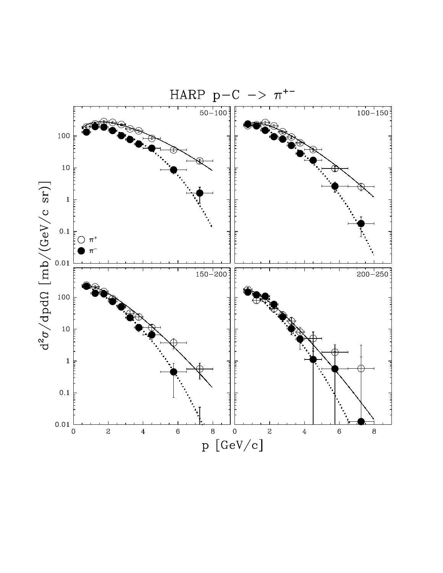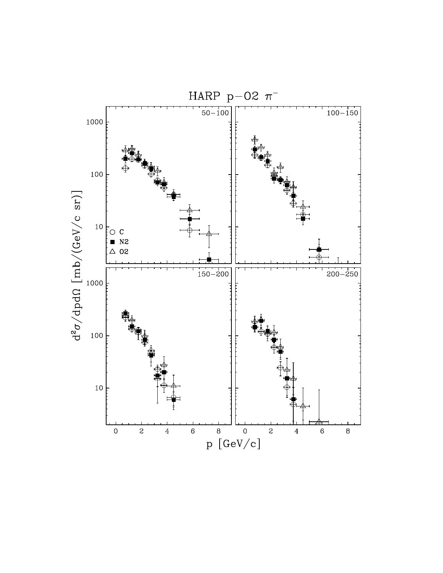![](_page_18_Figure_0.jpeg)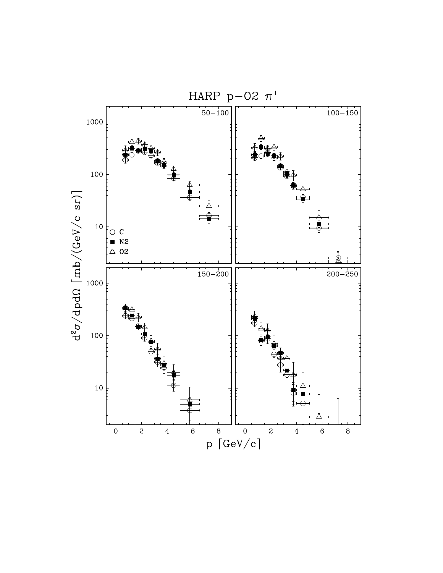![](_page_19_Figure_0.jpeg)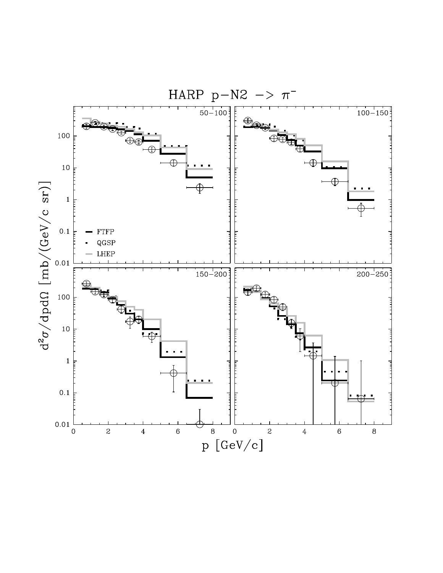![](_page_20_Figure_0.jpeg)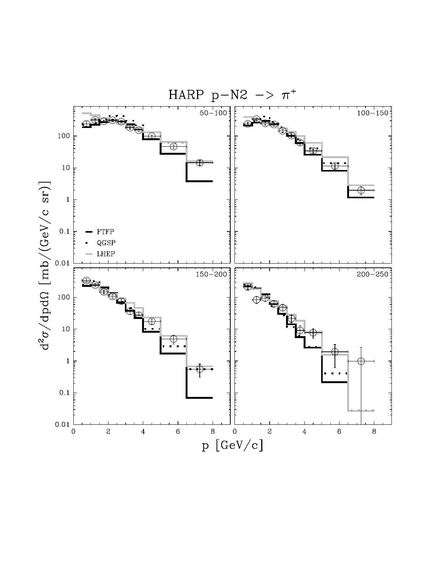![](_page_21_Figure_0.jpeg)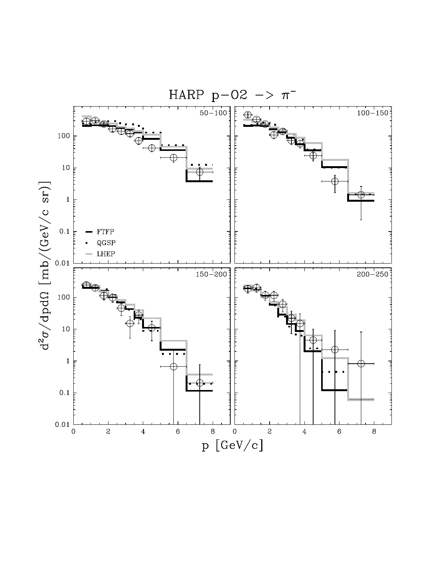![](_page_22_Figure_0.jpeg)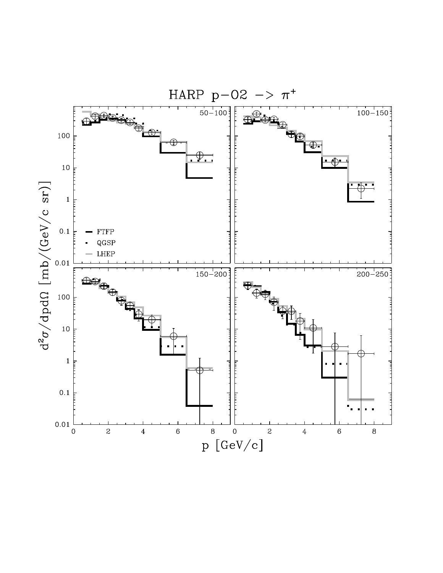![](_page_23_Figure_0.jpeg)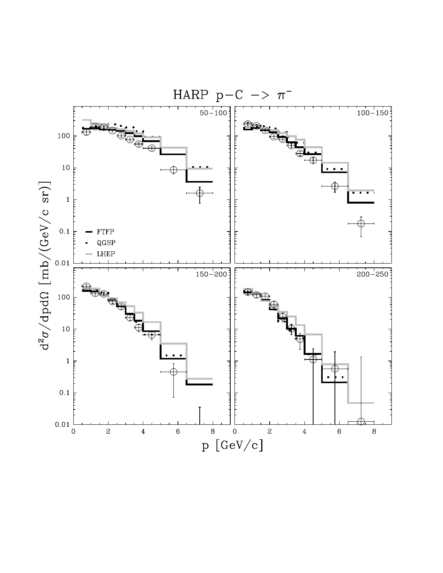![](_page_24_Figure_0.jpeg)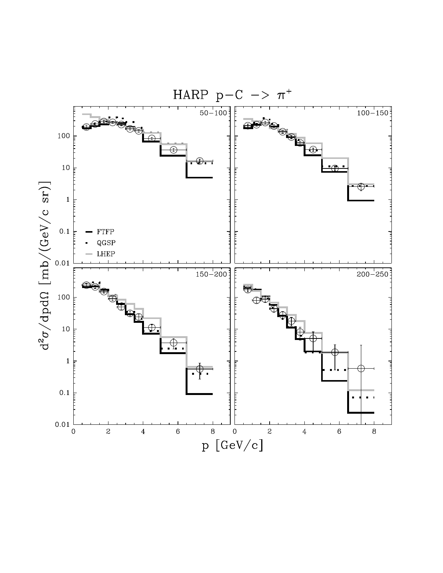![](_page_25_Figure_0.jpeg)